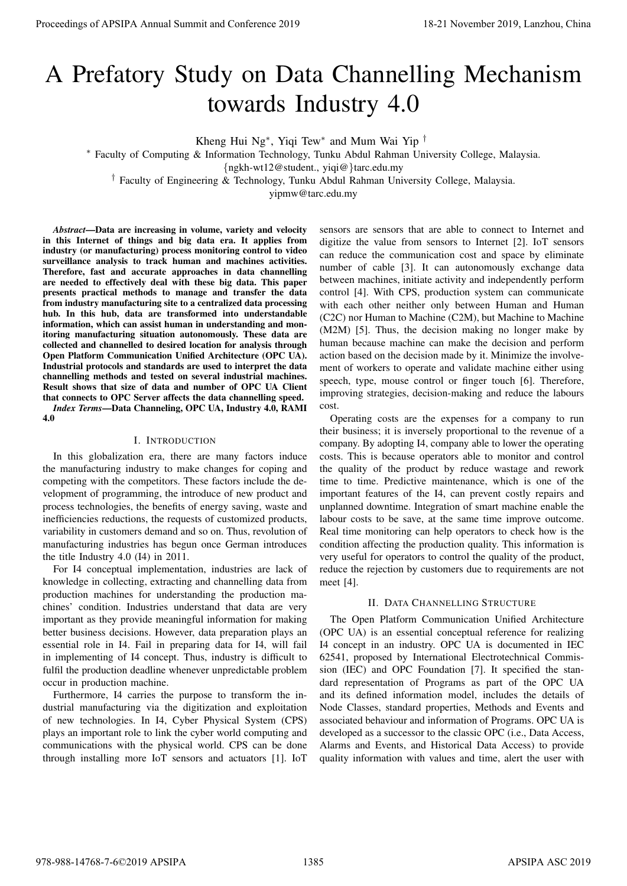# A Prefatory Study on Data Channelling Mechanism towards Industry 4.0

Kheng Hui Ng<sup>∗</sup> , Yiqi Tew<sup>∗</sup> and Mum Wai Yip †

<sup>∗</sup> Faculty of Computing & Information Technology, Tunku Abdul Rahman University College, Malaysia.

{ngkh-wt12@student., yiqi@}tarc.edu.my

† Faculty of Engineering & Technology, Tunku Abdul Rahman University College, Malaysia.

yipmw@tarc.edu.my

*Abstract*—Data are increasing in volume, variety and velocity in this Internet of things and big data era. It applies from industry (or manufacturing) process monitoring control to video surveillance analysis to track human and machines activities. Therefore, fast and accurate approaches in data channelling are needed to effectively deal with these big data. This paper presents practical methods to manage and transfer the data from industry manufacturing site to a centralized data processing hub. In this hub, data are transformed into understandable information, which can assist human in understanding and monitoring manufacturing situation autonomously. These data are collected and channelled to desired location for analysis through Open Platform Communication Unified Architecture (OPC UA). Industrial protocols and standards are used to interpret the data channelling methods and tested on several industrial machines. Result shows that size of data and number of OPC UA Client that connects to OPC Server affects the data channelling speed. *Index Terms*—Data Channeling, OPC UA, Industry 4.0, RAMI 4.0 **Proceedings of APSIPA Annual Summit and Conference 2019**<br> **A Procedure 2019 CONFERENCE CONFERENCE CONFERENCE CONFERENCE CONFERENCE CONFERENCE CONFERENCE CONFERENCE CONFERENCE CONFERENCE CONFERENCE CONFERENCE CONFEREN** 

### I. INTRODUCTION

In this globalization era, there are many factors induce the manufacturing industry to make changes for coping and competing with the competitors. These factors include the development of programming, the introduce of new product and process technologies, the benefits of energy saving, waste and inefficiencies reductions, the requests of customized products, variability in customers demand and so on. Thus, revolution of manufacturing industries has begun once German introduces the title Industry 4.0 (I4) in 2011.

For I4 conceptual implementation, industries are lack of knowledge in collecting, extracting and channelling data from production machines for understanding the production machines' condition. Industries understand that data are very important as they provide meaningful information for making better business decisions. However, data preparation plays an essential role in I4. Fail in preparing data for I4, will fail in implementing of I4 concept. Thus, industry is difficult to fulfil the production deadline whenever unpredictable problem occur in production machine.

Furthermore, I4 carries the purpose to transform the industrial manufacturing via the digitization and exploitation of new technologies. In I4, Cyber Physical System (CPS) plays an important role to link the cyber world computing and communications with the physical world. CPS can be done through installing more IoT sensors and actuators [1]. IoT

sensors are sensors that are able to connect to Internet and digitize the value from sensors to Internet [2]. IoT sensors can reduce the communication cost and space by eliminate number of cable [3]. It can autonomously exchange data between machines, initiate activity and independently perform control [4]. With CPS, production system can communicate with each other neither only between Human and Human (C2C) nor Human to Machine (C2M), but Machine to Machine (M2M) [5]. Thus, the decision making no longer make by human because machine can make the decision and perform action based on the decision made by it. Minimize the involvement of workers to operate and validate machine either using speech, type, mouse control or finger touch [6]. Therefore, improving strategies, decision-making and reduce the labours cost.

Operating costs are the expenses for a company to run their business; it is inversely proportional to the revenue of a company. By adopting I4, company able to lower the operating costs. This is because operators able to monitor and control the quality of the product by reduce wastage and rework time to time. Predictive maintenance, which is one of the important features of the I4, can prevent costly repairs and unplanned downtime. Integration of smart machine enable the labour costs to be save, at the same time improve outcome. Real time monitoring can help operators to check how is the condition affecting the production quality. This information is very useful for operators to control the quality of the product, reduce the rejection by customers due to requirements are not meet [4].

## II. DATA CHANNELLING STRUCTURE

The Open Platform Communication Unified Architecture (OPC UA) is an essential conceptual reference for realizing I4 concept in an industry. OPC UA is documented in IEC 62541, proposed by International Electrotechnical Commission (IEC) and OPC Foundation [7]. It specified the standard representation of Programs as part of the OPC UA and its defined information model, includes the details of Node Classes, standard properties, Methods and Events and associated behaviour and information of Programs. OPC UA is developed as a successor to the classic OPC (i.e., Data Access, Alarms and Events, and Historical Data Access) to provide quality information with values and time, alert the user with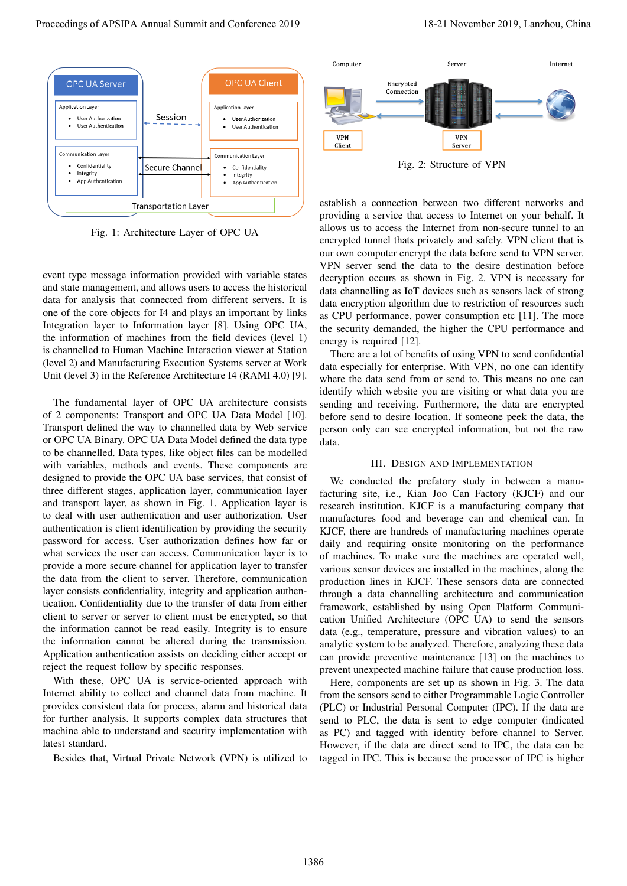

Fig. 1: Architecture Layer of OPC UA

event type message information provided with variable states and state management, and allows users to access the historical data for analysis that connected from different servers. It is one of the core objects for I4 and plays an important by links Integration layer to Information layer [8]. Using OPC UA, the information of machines from the field devices (level 1) is channelled to Human Machine Interaction viewer at Station (level 2) and Manufacturing Execution Systems server at Work Unit (level 3) in the Reference Architecture I4 (RAMI 4.0) [9].

The fundamental layer of OPC UA architecture consists of 2 components: Transport and OPC UA Data Model [10]. Transport defined the way to channelled data by Web service or OPC UA Binary. OPC UA Data Model defined the data type to be channelled. Data types, like object files can be modelled with variables, methods and events. These components are designed to provide the OPC UA base services, that consist of three different stages, application layer, communication layer and transport layer, as shown in Fig. 1. Application layer is to deal with user authentication and user authorization. User authentication is client identification by providing the security password for access. User authorization defines how far or what services the user can access. Communication layer is to provide a more secure channel for application layer to transfer the data from the client to server. Therefore, communication layer consists confidentiality, integrity and application authentication. Confidentiality due to the transfer of data from either client to server or server to client must be encrypted, so that the information cannot be read easily. Integrity is to ensure the information cannot be altered during the transmission. Application authentication assists on deciding either accept or reject the request follow by specific responses. Proceeding of APSIPA Annual Summit and Conference 2019<br>
Proceedings of APSIPA Annual Summit and Conference 2019<br>
Proceedings of APSIPA Annual Summit and Conference 2019<br>
Proceedings of APSIPA Annual Summit and Conference

With these, OPC UA is service-oriented approach with Internet ability to collect and channel data from machine. It provides consistent data for process, alarm and historical data for further analysis. It supports complex data structures that machine able to understand and security implementation with latest standard.

Besides that, Virtual Private Network (VPN) is utilized to



Fig. 2: Structure of VPN

establish a connection between two different networks and providing a service that access to Internet on your behalf. It allows us to access the Internet from non-secure tunnel to an encrypted tunnel thats privately and safely. VPN client that is our own computer encrypt the data before send to VPN server. VPN server send the data to the desire destination before decryption occurs as shown in Fig. 2. VPN is necessary for data channelling as IoT devices such as sensors lack of strong data encryption algorithm due to restriction of resources such as CPU performance, power consumption etc [11]. The more the security demanded, the higher the CPU performance and energy is required [12].

There are a lot of benefits of using VPN to send confidential data especially for enterprise. With VPN, no one can identify where the data send from or send to. This means no one can identify which website you are visiting or what data you are sending and receiving. Furthermore, the data are encrypted before send to desire location. If someone peek the data, the person only can see encrypted information, but not the raw data.

#### III. DESIGN AND IMPLEMENTATION

We conducted the prefatory study in between a manufacturing site, i.e., Kian Joo Can Factory (KJCF) and our research institution. KJCF is a manufacturing company that manufactures food and beverage can and chemical can. In KJCF, there are hundreds of manufacturing machines operate daily and requiring onsite monitoring on the performance of machines. To make sure the machines are operated well, various sensor devices are installed in the machines, along the production lines in KJCF. These sensors data are connected through a data channelling architecture and communication framework, established by using Open Platform Communication Unified Architecture (OPC UA) to send the sensors data (e.g., temperature, pressure and vibration values) to an analytic system to be analyzed. Therefore, analyzing these data can provide preventive maintenance [13] on the machines to prevent unexpected machine failure that cause production loss.

Here, components are set up as shown in Fig. 3. The data from the sensors send to either Programmable Logic Controller (PLC) or Industrial Personal Computer (IPC). If the data are send to PLC, the data is sent to edge computer (indicated as PC) and tagged with identity before channel to Server. However, if the data are direct send to IPC, the data can be tagged in IPC. This is because the processor of IPC is higher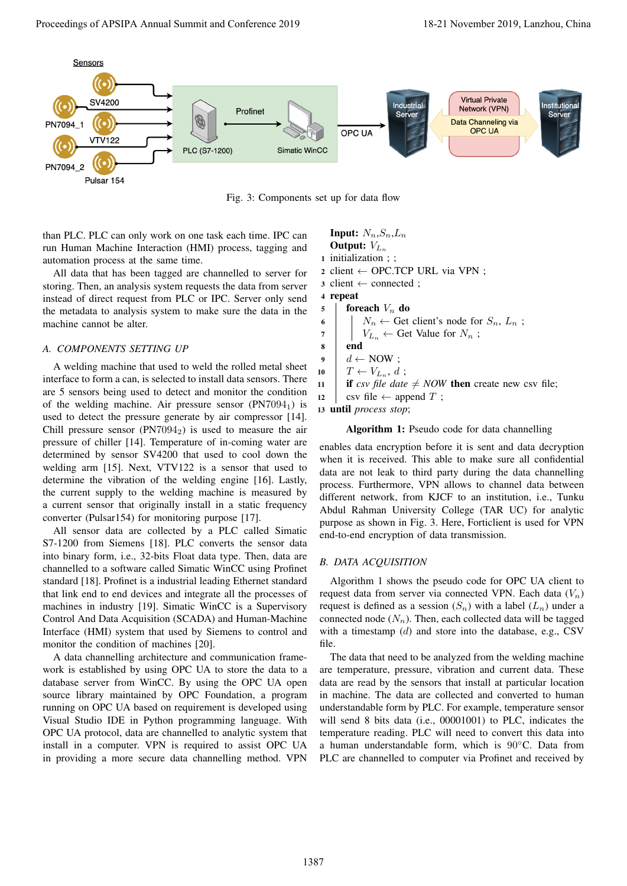

Fig. 3: Components set up for data flow

than PLC. PLC can only work on one task each time. IPC can run Human Machine Interaction (HMI) process, tagging and automation process at the same time.

All data that has been tagged are channelled to server for storing. Then, an analysis system requests the data from server instead of direct request from PLC or IPC. Server only send the metadata to analysis system to make sure the data in the machine cannot be alter.

## *A. COMPONENTS SETTING UP*

A welding machine that used to weld the rolled metal sheet interface to form a can, is selected to install data sensors. There are 5 sensors being used to detect and monitor the condition of the welding machine. Air pressure sensor  $(PN7094_1)$  is used to detect the pressure generate by air compressor [14]. Chill pressure sensor  $(PN7094<sub>2</sub>)$  is used to measure the air pressure of chiller [14]. Temperature of in-coming water are determined by sensor SV4200 that used to cool down the welding arm [15]. Next, VTV122 is a sensor that used to determine the vibration of the welding engine [16]. Lastly, the current supply to the welding machine is measured by a current sensor that originally install in a static frequency converter (Pulsar154) for monitoring purpose [17].

All sensor data are collected by a PLC called Simatic S7-1200 from Siemens [18]. PLC converts the sensor data into binary form, i.e., 32-bits Float data type. Then, data are channelled to a software called Simatic WinCC using Profinet standard [18]. Profinet is a industrial leading Ethernet standard that link end to end devices and integrate all the processes of machines in industry [19]. Simatic WinCC is a Supervisory Control And Data Acquisition (SCADA) and Human-Machine Interface (HMI) system that used by Siemens to control and monitor the condition of machines [20].

A data channelling architecture and communication framework is established by using OPC UA to store the data to a database server from WinCC. By using the OPC UA open source library maintained by OPC Foundation, a program running on OPC UA based on requirement is developed using Visual Studio IDE in Python programming language. With OPC UA protocol, data are channelled to analytic system that install in a computer. VPN is required to assist OPC UA in providing a more secure data channelling method. VPN

**Input:**  $N_n, S_n, L_n$ Output:  $V_{L_n}$ <sup>1</sup> initialization ; ; 2 client  $\leftarrow$  OPC.TCP URL via VPN ;  $\alpha$  client  $\leftarrow$  connected : <sup>4</sup> repeat  $5$  foreach  $V_n$  do 6  $\mid N_n \leftarrow$  Get client's node for  $S_n, L_n$ ; 7 |  $V_{L_n} \leftarrow$  Get Value for  $N_n$ ; <sup>8</sup> end  $9 \mid d \leftarrow \text{NOW}$ ; 10  $T \leftarrow V_{L_n}, d;$ 11 **if** csv file date  $\neq$  *NOW* then create new csv file; 12 csv file  $\leftarrow$  append T; <sup>13</sup> until *process stop*;

### Algorithm 1: Pseudo code for data channelling

enables data encryption before it is sent and data decryption when it is received. This able to make sure all confidential data are not leak to third party during the data channelling process. Furthermore, VPN allows to channel data between different network, from KJCF to an institution, i.e., Tunku Abdul Rahman University College (TAR UC) for analytic purpose as shown in Fig. 3. Here, Forticlient is used for VPN end-to-end encryption of data transmission.

## *B. DATA ACQUISITION*

Algorithm 1 shows the pseudo code for OPC UA client to request data from server via connected VPN. Each data  $(V_n)$ request is defined as a session  $(S_n)$  with a label  $(L_n)$  under a connected node  $(N_n)$ . Then, each collected data will be tagged with a timestamp  $(d)$  and store into the database, e.g., CSV file.

The data that need to be analyzed from the welding machine are temperature, pressure, vibration and current data. These data are read by the sensors that install at particular location in machine. The data are collected and converted to human understandable form by PLC. For example, temperature sensor will send 8 bits data (i.e., 00001001) to PLC, indicates the temperature reading. PLC will need to convert this data into a human understandable form, which is 90◦C. Data from PLC are channelled to computer via Profinet and received by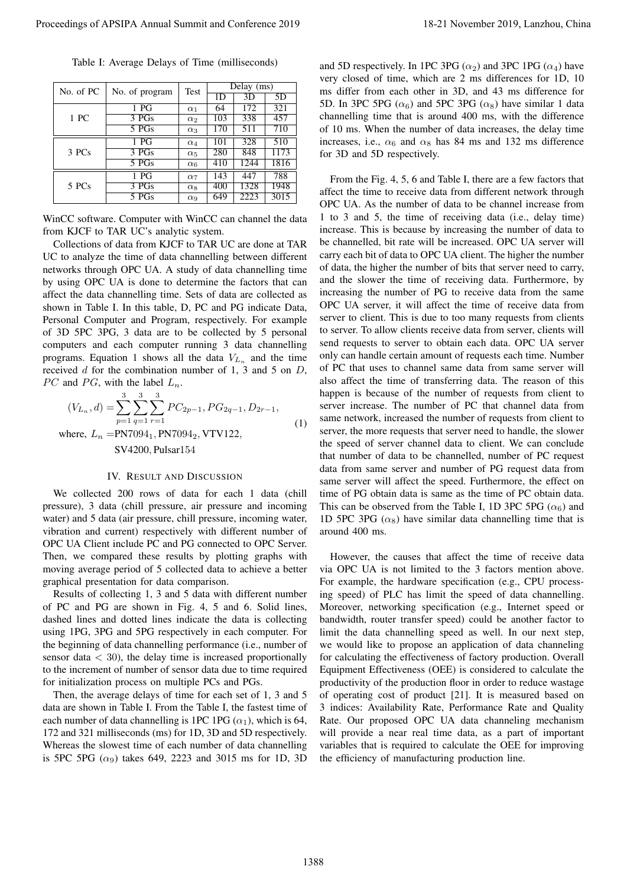| Table I: Average Delays of Time (milliseconds) |  |  |  |
|------------------------------------------------|--|--|--|
|------------------------------------------------|--|--|--|

| No. of PC | No. of program   | Test                  | Delay (ms) |      |      |
|-----------|------------------|-----------------------|------------|------|------|
|           |                  |                       | 1D         | 3D   | 5D   |
| 1 PC      | 1 <sub>PG</sub>  | $\alpha_1$            | 64         | 172  | 321  |
|           | 3 PGs            | $\alpha_2$            | 103        | 338  | 457  |
|           | 5 PGs            | $\alpha_3$            | 170        | 511  | 710  |
| 3 PCs     | 1 <sub>PG</sub>  | $\alpha_4$            | 101        | 328  | 510  |
|           | 3 PGs            | $\alpha_5$            | 280        | 848  | 1173 |
|           | 5 <sub>PGs</sub> | $\alpha_6$            | 410        | 1244 | 1816 |
| 5 PCs     | 1 <sub>PG</sub>  | $\alpha$ <sub>7</sub> | 143        | 447  | 788  |
|           | 3 PGs            | $\alpha_8$            | 400        | 1328 | 1948 |
|           | 5 PGs            | $\alpha$ <sup>o</sup> | 649        | 2223 | 3015 |

WinCC software. Computer with WinCC can channel the data from KJCF to TAR UC's analytic system.

Collections of data from KJCF to TAR UC are done at TAR UC to analyze the time of data channelling between different networks through OPC UA. A study of data channelling time by using OPC UA is done to determine the factors that can affect the data channelling time. Sets of data are collected as shown in Table I. In this table, D, PC and PG indicate Data, Personal Computer and Program, respectively. For example of 3D 5PC 3PG, 3 data are to be collected by 5 personal computers and each computer running 3 data channelling programs. Equation 1 shows all the data  $V_{L_n}$  and the time received  $d$  for the combination number of 1, 3 and 5 on  $D$ , *PC* and *PG*, with the label  $L_n$ .

$$
(V_{L_n}, d) = \sum_{p=1}^{3} \sum_{q=1}^{3} \sum_{r=1}^{3} PC_{2p-1}, PG_{2q-1}, D_{2r-1},
$$
  
where,  $L_n$  =PN7094<sub>1</sub>, PN7094<sub>2</sub>, VTV122, (1)

SV4200, Pulsar154

# IV. RESULT AND DISCUSSION

We collected 200 rows of data for each 1 data (chill pressure), 3 data (chill pressure, air pressure and incoming water) and 5 data (air pressure, chill pressure, incoming water, vibration and current) respectively with different number of OPC UA Client include PC and PG connected to OPC Server. Then, we compared these results by plotting graphs with moving average period of 5 collected data to achieve a better graphical presentation for data comparison.

Results of collecting 1, 3 and 5 data with different number of PC and PG are shown in Fig. 4, 5 and 6. Solid lines, dashed lines and dotted lines indicate the data is collecting using 1PG, 3PG and 5PG respectively in each computer. For the beginning of data channelling performance (i.e., number of sensor data  $<$  30), the delay time is increased proportionally to the increment of number of sensor data due to time required for initialization process on multiple PCs and PGs.

Then, the average delays of time for each set of 1, 3 and 5 data are shown in Table I. From the Table I, the fastest time of each number of data channelling is 1PC 1PG ( $\alpha_1$ ), which is 64, 172 and 321 milliseconds (ms) for 1D, 3D and 5D respectively. Whereas the slowest time of each number of data channelling is 5PC 5PG  $(\alpha_9)$  takes 649, 2223 and 3015 ms for 1D, 3D

and 5D respectively. In 1PC 3PG  $(\alpha_2)$  and 3PC 1PG  $(\alpha_4)$  have very closed of time, which are 2 ms differences for 1D, 10 ms differ from each other in 3D, and 43 ms difference for 5D. In 3PC 5PG ( $\alpha_6$ ) and 5PC 3PG ( $\alpha_8$ ) have similar 1 data channelling time that is around 400 ms, with the difference of 10 ms. When the number of data increases, the delay time increases, i.e.,  $\alpha_6$  and  $\alpha_8$  has 84 ms and 132 ms difference for 3D and 5D respectively.

From the Fig. 4, 5, 6 and Table I, there are a few factors that affect the time to receive data from different network through OPC UA. As the number of data to be channel increase from 1 to 3 and 5, the time of receiving data (i.e., delay time) increase. This is because by increasing the number of data to be channelled, bit rate will be increased. OPC UA server will carry each bit of data to OPC UA client. The higher the number of data, the higher the number of bits that server need to carry, and the slower the time of receiving data. Furthermore, by increasing the number of PG to receive data from the same OPC UA server, it will affect the time of receive data from server to client. This is due to too many requests from clients to server. To allow clients receive data from server, clients will send requests to server to obtain each data. OPC UA server only can handle certain amount of requests each time. Number of PC that uses to channel same data from same server will also affect the time of transferring data. The reason of this happen is because of the number of requests from client to server increase. The number of PC that channel data from same network, increased the number of requests from client to server, the more requests that server need to handle, the slower the speed of server channel data to client. We can conclude that number of data to be channelled, number of PC request data from same server and number of PG request data from same server will affect the speed. Furthermore, the effect on time of PG obtain data is same as the time of PC obtain data. This can be observed from the Table I, 1D 3PC 5PG  $(\alpha_6)$  and 1D 5PC 3PG  $(\alpha_8)$  have similar data channelling time that is around 400 ms. Proceedings of APSIPA Annual Summit at Conference 2019<br>
Take is An operator (i.e.)  $\frac{1}{2}$  November 2019 18-21 November 2019 18-21 November 2019 18-21 November 2019 18-21 November 2019 18-21 November 2019 18-21 November

However, the causes that affect the time of receive data via OPC UA is not limited to the 3 factors mention above. For example, the hardware specification (e.g., CPU processing speed) of PLC has limit the speed of data channelling. Moreover, networking specification (e.g., Internet speed or bandwidth, router transfer speed) could be another factor to limit the data channelling speed as well. In our next step, we would like to propose an application of data channeling for calculating the effectiveness of factory production. Overall Equipment Effectiveness (OEE) is considered to calculate the productivity of the production floor in order to reduce wastage of operating cost of product [21]. It is measured based on 3 indices: Availability Rate, Performance Rate and Quality Rate. Our proposed OPC UA data channeling mechanism will provide a near real time data, as a part of important variables that is required to calculate the OEE for improving the efficiency of manufacturing production line.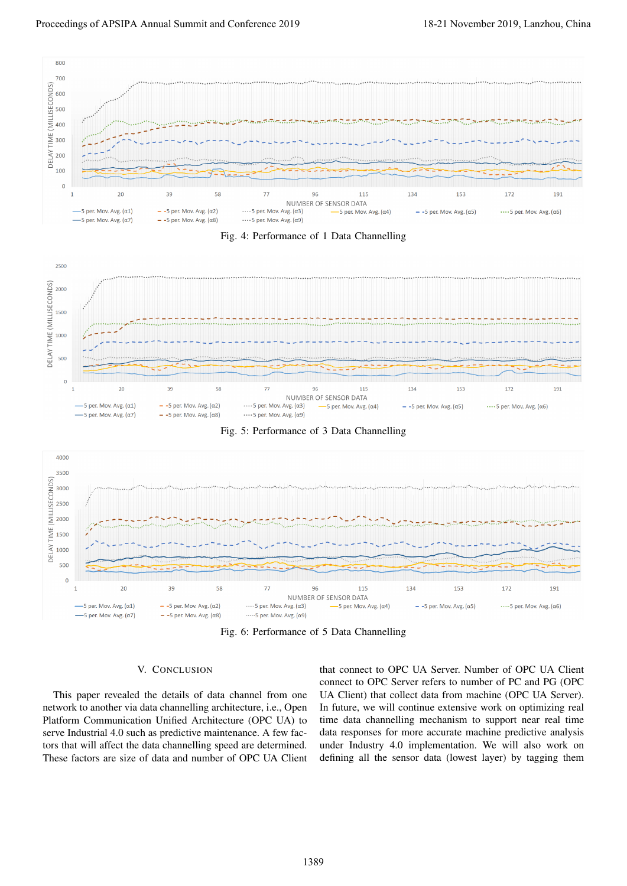









Fig. 6: Performance of 5 Data Channelling

# V. CONCLUSION

This paper revealed the details of data channel from one network to another via data channelling architecture, i.e., Open Platform Communication Unified Architecture (OPC UA) to serve Industrial 4.0 such as predictive maintenance. A few factors that will affect the data channelling speed are determined. These factors are size of data and number of OPC UA Client

that connect to OPC UA Server. Number of OPC UA Client connect to OPC Server refers to number of PC and PG (OPC UA Client) that collect data from machine (OPC UA Server). In future, we will continue extensive work on optimizing real time data channelling mechanism to support near real time data responses for more accurate machine predictive analysis under Industry 4.0 implementation. We will also work on defining all the sensor data (lowest layer) by tagging them